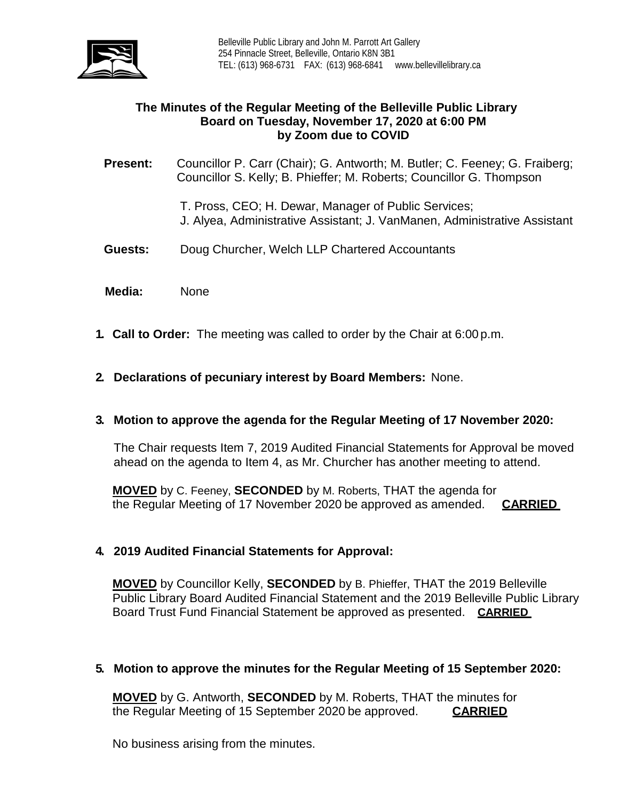

# **The Minutes of the Regular Meeting of the Belleville Public Library Board on Tuesday, November 17, 2020 at 6:00 PM by Zoom due to COVID**

**Present:** Councillor P. Carr (Chair); G. Antworth; M. Butler; C. Feeney; G. Fraiberg; Councillor S. Kelly; B. Phieffer; M. Roberts; Councillor G. Thompson

T. Pross, CEO; H. Dewar, Manager of Public Services;

- J. Alyea, Administrative Assistant; J. VanManen, Administrative Assistant
- **Guests:** Doug Churcher, Welch LLP Chartered Accountants
- **Media:** None
- **1. Call to Order:** The meeting was called to order by the Chair at 6:00 p.m.
- **2. Declarations of pecuniary interest by Board Members:** None.

## **3. Motion to approve the agenda for the Regular Meeting of 17 November 2020:**

The Chair requests Item 7, 2019 Audited Financial Statements for Approval be moved ahead on the agenda to Item 4, as Mr. Churcher has another meeting to attend.

**MOVED** by C. Feeney, **SECONDED** by M. Roberts, THAT the agenda for the Regular Meeting of 17 November 2020 be approved as amended. **CARRIED**

## **4. 2019 Audited Financial Statements for Approval:**

**MOVED** by Councillor Kelly, **SECONDED** by B. Phieffer, THAT the 2019 Belleville Public Library Board Audited Financial Statement and the 2019 Belleville Public Library Board Trust Fund Financial Statement be approved as presented. **CARRIED** 

## **5. Motion to approve the minutes for the Regular Meeting of 15 September 2020:**

**MOVED** by G. Antworth, **SECONDED** by M. Roberts, THAT the minutes for the Regular Meeting of 15 September 2020 be approved.

No business arising from the minutes.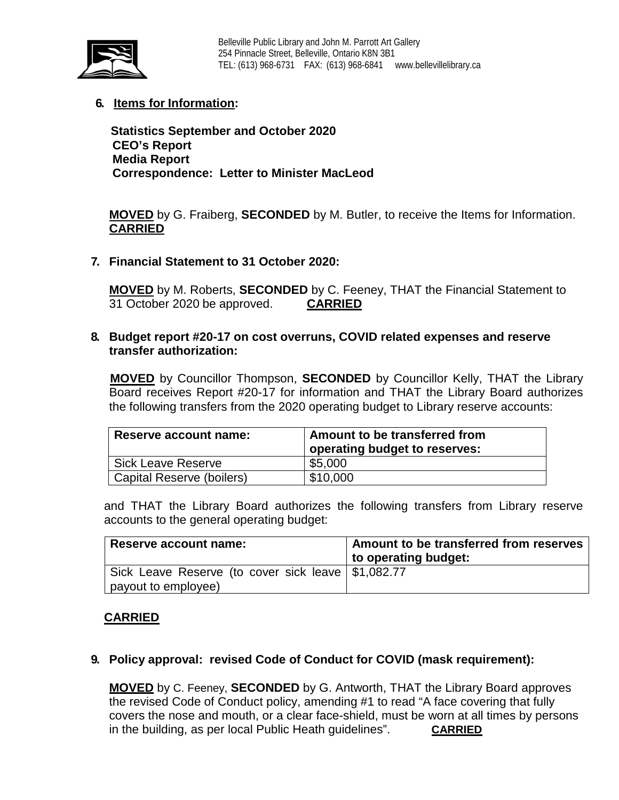

# **6. Items for Information:**

 **Statistics September and October 2020 CEO's Report Media Report Correspondence: Letter to Minister MacLeod** 

**MOVED** by G. Fraiberg, **SECONDED** by M. Butler, to receive the Items for Information. **CARRIED** 

**7. Financial Statement to 31 October 2020:**

**MOVED** by M. Roberts, **SECONDED** by C. Feeney, THAT the Financial Statement to 31 October 2020 be approved. **CARRIED**

### **8. Budget report #20-17 on cost overruns, COVID related expenses and reserve transfer authorization:**

**MOVED** by Councillor Thompson, **SECONDED** by Councillor Kelly, THAT the Library Board receives Report #20-17 for information and THAT the Library Board authorizes the following transfers from the 2020 operating budget to Library reserve accounts:

| Reserve account name:     | Amount to be transferred from<br>operating budget to reserves: |
|---------------------------|----------------------------------------------------------------|
| <b>Sick Leave Reserve</b> | \$5,000                                                        |
| Capital Reserve (boilers) | \$10,000                                                       |

and THAT the Library Board authorizes the following transfers from Library reserve accounts to the general operating budget:

| Reserve account name:                                | Amount to be transferred from reserves |
|------------------------------------------------------|----------------------------------------|
|                                                      | to operating budget:                   |
| Sick Leave Reserve (to cover sick leave   \$1,082.77 |                                        |
| payout to employee)                                  |                                        |

## **CARRIED**

## **9. Policy approval: revised Code of Conduct for COVID (mask requirement):**

**MOVED** by C. Feeney, **SECONDED** by G. Antworth, THAT the Library Board approves the revised Code of Conduct policy, amending #1 to read "A face covering that fully covers the nose and mouth, or a clear face-shield, must be worn at all times by persons in the building, as per local Public Heath guidelines". **CARRIED**